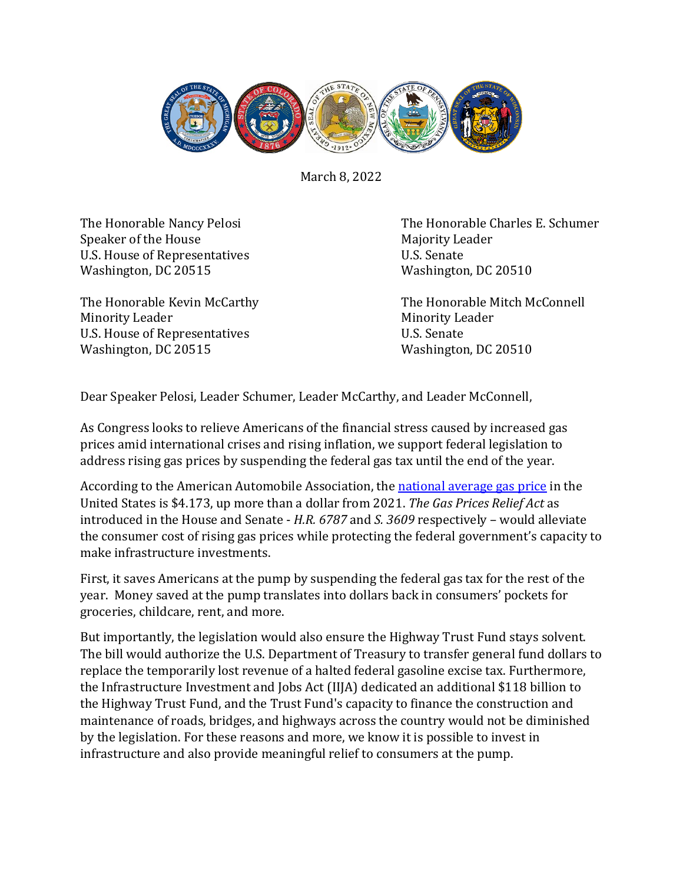

March 8, 2022

Speaker of the House<br>
U.S. House of Representatives<br>
U.S. Senate U.S. House of Representatives<br>
Washington, DC 20515<br>
Washington, DC 20510 Washington, DC 20515

Minority Leader<br>U.S. House of Representatives<br>U.S. Senate U.S. House of Representatives<br>
Washington, DC 20515<br>
Washington, DC 20510 Washington, DC 20515

The Honorable Nancy Pelosi The Honorable Charles E. Schumer<br>Speaker of the House Majority Leader

The Honorable Kevin McCarthy The Honorable Mitch McConnell

Dear Speaker Pelosi, Leader Schumer, Leader McCarthy, and Leader McConnell,

As Congress looks to relieve Americans of the financial stress caused by increased gas prices amid international crises and rising inflation, we support federal legislation to address rising gas prices by suspending the federal gas tax until the end of the year.

According to the American Automobile Association, the [national average gas price](https://gasprices.aaa.com/) in the United States is \$4.173, up more than a dollar from 2021. *The Gas Prices Relief Act* as introduced in the House and Senate - *H.R. 6787* and *S. 3609* respectively – would alleviate the consumer cost of rising gas prices while protecting the federal government's capacity to make infrastructure investments.

First, it saves Americans at the pump by suspending the federal gas tax for the rest of the year. Money saved at the pump translates into dollars back in consumers' pockets for groceries, childcare, rent, and more.

But importantly, the legislation would also ensure the Highway Trust Fund stays solvent. The bill would authorize the U.S. Department of Treasury to transfer general fund dollars to replace the temporarily lost revenue of a halted federal gasoline excise tax. Furthermore, the Infrastructure Investment and Jobs Act (IIJA) dedicated an additional \$118 billion to the Highway Trust Fund, and the Trust Fund's capacity to finance the construction and maintenance of roads, bridges, and highways across the country would not be diminished by the legislation. For these reasons and more, we know it is possible to invest in infrastructure and also provide meaningful relief to consumers at the pump.